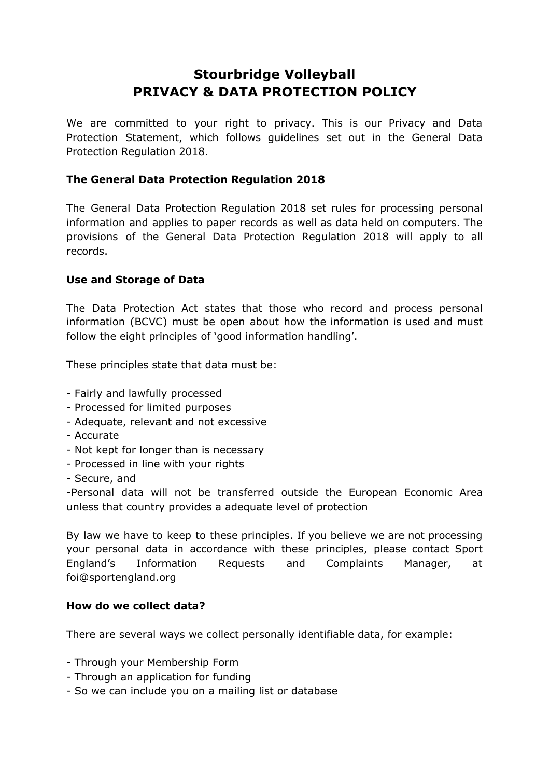# **Stourbridge Volleyball PRIVACY & DATA PROTECTION POLICY**

We are committed to your right to privacy. This is our Privacy and Data Protection Statement, which follows guidelines set out in the General Data Protection Regulation 2018.

## **The General Data Protection Regulation 2018**

The General Data Protection Regulation 2018 set rules for processing personal information and applies to paper records as well as data held on computers. The provisions of the General Data Protection Regulation 2018 will apply to all records.

## **Use and Storage of Data**

The Data Protection Act states that those who record and process personal information (BCVC) must be open about how the information is used and must follow the eight principles of 'good information handling'.

These principles state that data must be:

- Fairly and lawfully processed
- Processed for limited purposes
- Adequate, relevant and not excessive
- Accurate
- Not kept for longer than is necessary
- Processed in line with your rights
- Secure, and

-Personal data will not be transferred outside the European Economic Area unless that country provides a adequate level of protection

By law we have to keep to these principles. If you believe we are not processing your personal data in accordance with these principles, please contact Sport England's Information Requests and Complaints Manager, at foi@sportengland.org

#### **How do we collect data?**

There are several ways we collect personally identifiable data, for example:

- Through your Membership Form
- Through an application for funding
- So we can include you on a mailing list or database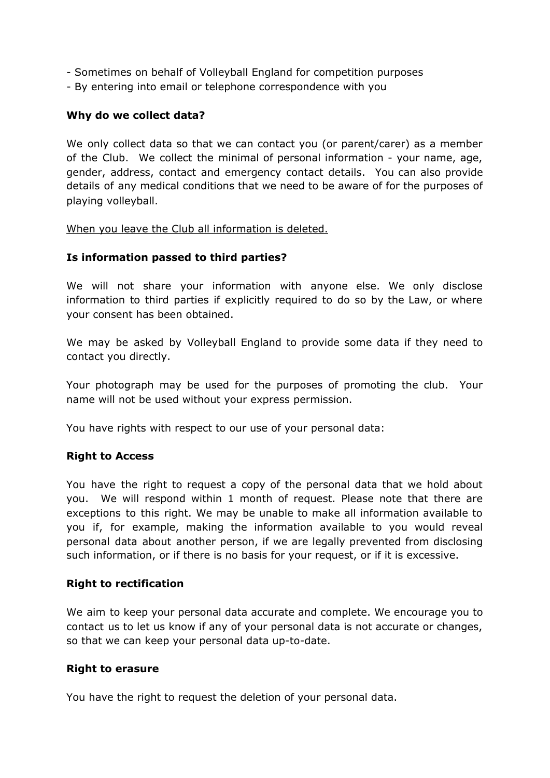- Sometimes on behalf of Volleyball England for competition purposes
- By entering into email or telephone correspondence with you

#### **Why do we collect data?**

We only collect data so that we can contact you (or parent/carer) as a member of the Club. We collect the minimal of personal information - your name, age, gender, address, contact and emergency contact details. You can also provide details of any medical conditions that we need to be aware of for the purposes of playing volleyball.

#### When you leave the Club all information is deleted.

#### **Is information passed to third parties?**

We will not share your information with anyone else. We only disclose information to third parties if explicitly required to do so by the Law, or where your consent has been obtained.

We may be asked by Volleyball England to provide some data if they need to contact you directly.

Your photograph may be used for the purposes of promoting the club. Your name will not be used without your express permission.

You have rights with respect to our use of your personal data:

#### **Right to Access**

You have the right to request a copy of the personal data that we hold about you. We will respond within 1 month of request. Please note that there are exceptions to this right. We may be unable to make all information available to you if, for example, making the information available to you would reveal personal data about another person, if we are legally prevented from disclosing such information, or if there is no basis for your request, or if it is excessive.

#### **Right to rectification**

We aim to keep your personal data accurate and complete. We encourage you to contact us to let us know if any of your personal data is not accurate or changes, so that we can keep your personal data up-to-date.

#### **Right to erasure**

You have the right to request the deletion of your personal data.